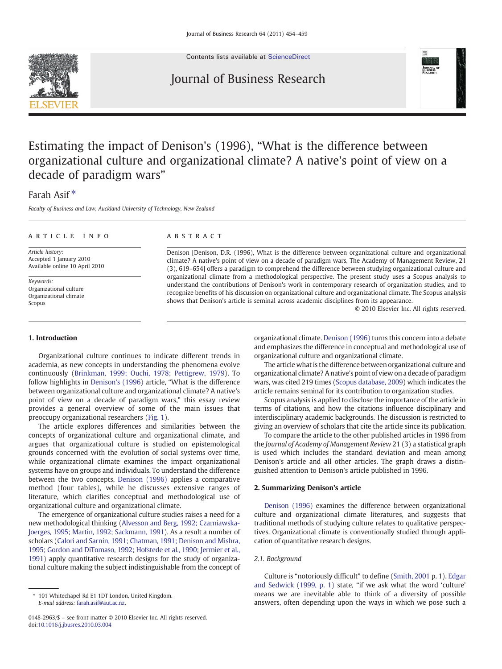Contents lists available at [ScienceDirect](http://www.sciencedirect.com/science/journal/01482963)

# Journal of Business Research



## Farah Asif<sup>\*</sup>

Faculty of Business and Law, Auckland University of Technology, New Zealand

#### ARTICLE INFO ABSTRACT

Article history: Accepted 1 January 2010 Available online 10 April 2010

Keywords: Organizational culture Organizational climate Scopus

Denison [Denison, D.R. (1996), What is the difference between organizational culture and organizational climate? A native's point of view on a decade of paradigm wars, The Academy of Management Review, 21 (3), 619–654] offers a paradigm to comprehend the difference between studying organizational culture and organizational climate from a methodological perspective. The present study uses a Scopus analysis to understand the contributions of Denison's work in contemporary research of organization studies, and to recognize benefits of his discussion on organizational culture and organizational climate. The Scopus analysis shows that Denison's article is seminal across academic disciplines from its appearance.

© 2010 Elsevier Inc. All rights reserved.

#### 1. Introduction

Organizational culture continues to indicate different trends in academia, as new concepts in understanding the phenomena evolve continuously [\(Brinkman, 1999; Ouchi, 1978; Pettigrew, 1979\)](#page--1-0). To follow highlights in [Denison's \(1996\)](#page--1-0) article, "What is the difference between organizational culture and organizational climate? A native's point of view on a decade of paradigm wars," this essay review provides a general overview of some of the main issues that preoccupy organizational researchers ([Fig. 1](#page-1-0)).

The article explores differences and similarities between the concepts of organizational culture and organizational climate, and argues that organizational culture is studied on epistemological grounds concerned with the evolution of social systems over time, while organizational climate examines the impact organizational systems have on groups and individuals. To understand the difference between the two concepts, [Denison \(1996\)](#page--1-0) applies a comparative method (four tables), while he discusses extensive ranges of literature, which clarifies conceptual and methodological use of organizational culture and organizational climate.

The emergence of organizational culture studies raises a need for a new methodological thinking ([Alvesson and Berg, 1992; Czarniawska-](#page--1-0)[Joerges, 1995; Martin, 1992; Sackmann, 1991\)](#page--1-0). As a result a number of scholars ([Calori and Sarnin, 1991; Chatman, 1991; Denison and Mishra,](#page--1-0) [1995; Gordon and DiTomaso, 1992; Hofstede et al., 1990; Jermier et al.,](#page--1-0) [1991\)](#page--1-0) apply quantitative research designs for the study of organizational culture making the subject indistinguishable from the concept of

organizational climate. [Denison \(1996\)](#page--1-0) turns this concern into a debate and emphasizes the difference in conceptual and methodological use of organizational culture and organizational climate.

The article what is the difference between organizational culture and organizational climate? A native's point of view on a decade of paradigm wars, was cited 219 times ([Scopus database, 2009](#page--1-0)) which indicates the article remains seminal for its contribution to organization studies.

Scopus analysis is applied to disclose the importance of the article in terms of citations, and how the citations influence disciplinary and interdisciplinary academic backgrounds. The discussion is restricted to giving an overview of scholars that cite the article since its publication.

To compare the article to the other published articles in 1996 from the Journal of Academy of Management Review 21 (3) a statistical graph is used which includes the standard deviation and mean among Denison's article and all other articles. The graph draws a distinguished attention to Denison's article published in 1996.

#### 2. Summarizing Denison's article

[Denison \(1996\)](#page--1-0) examines the difference between organizational culture and organizational climate literatures, and suggests that traditional methods of studying culture relates to qualitative perspectives. Organizational climate is conventionally studied through application of quantitative research designs.

### 2.1. Background

Culture is "notoriously difficult" to define ([Smith, 2001](#page--1-0) p. 1). [Edgar](#page--1-0) [and Sedwick \(1999, p. 1\)](#page--1-0) state, "if we ask what the word 'culture' means we are inevitable able to think of a diversity of possible answers, often depending upon the ways in which we pose such a



<sup>⁎</sup> 101 Whitechapel Rd E1 1DT London, United Kingdom. E-mail address: [farah.asif@aut.ac.nz](mailto:farah.asif@aut.ac.nz).

<sup>0148-2963/\$</sup> – see front matter © 2010 Elsevier Inc. All rights reserved. doi[:10.1016/j.jbusres.2010.03.004](http://dx.doi.org/10.1016/j.jbusres.2010.03.004)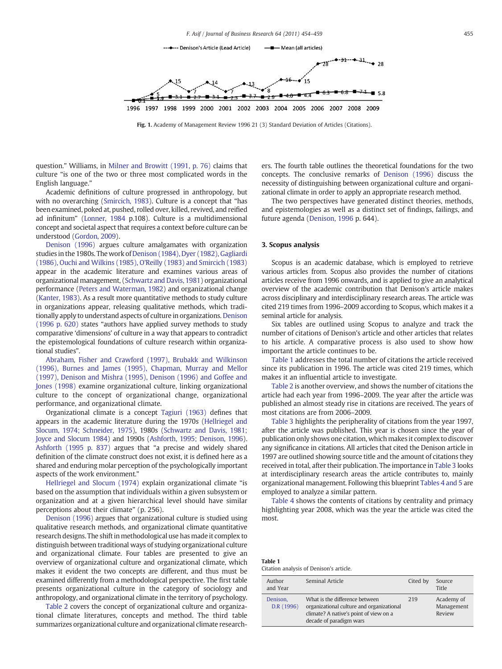<span id="page-1-0"></span>

Fig. 1. Academy of Management Review 1996 21 (3) Standard Deviation of Articles (Citations).

question." Williams, in [Milner and Browitt \(1991, p. 76\)](#page--1-0) claims that culture "is one of the two or three most complicated words in the English language."

Academic definitions of culture progressed in anthropology, but with no overarching [\(Smircich, 1983\)](#page--1-0). Culture is a concept that "has been examined, poked at, pushed, rolled over, killed, revived, and reified ad infinitum" ([Lonner, 1984](#page--1-0) p.108). Culture is a multidimensional concept and societal aspect that requires a context before culture can be understood ([Gordon, 2009](#page--1-0)).

[Denison \(1996\)](#page--1-0) argues culture amalgamates with organization studies in the 1980s. The work of [Denison \(1984\), Dyer \(1982\), Gagliardi](#page--1-0) [\(1986\), Ouchi and Wilkins \(1985\), O'Reilly \(1983\) and Smircich \(1983\)](#page--1-0) appear in the academic literature and examines various areas of organizational management, [\(Schwartz and Davis, 1981\)](#page--1-0) organizational performance ([Peters and Waterman, 1982\)](#page--1-0) and organizational change [\(Kanter, 1983](#page--1-0)). As a result more quantitative methods to study culture in organizations appear, releasing qualitative methods, which traditionally apply to understand aspects of culture in organizations. [Denison](#page--1-0) [\(1996 p. 620\)](#page--1-0) states "authors have applied survey methods to study comparative 'dimensions' of culture in a way that appears to contradict the epistemological foundations of culture research within organizational studies".

[Abraham, Fisher and Crawford \(1997\), Brubakk and Wilkinson](#page--1-0) [\(1996\), Burnes and James \(1995\), Chapman, Murray and Mellor](#page--1-0) [\(1997\), Denison and Mishra \(1995\), Denison \(1996\) and Goffee and](#page--1-0) [Jones \(1998\)](#page--1-0) examine organizational culture, linking organizational culture to the concept of organizational change, organizational performance, and organizational climate.

Organizational climate is a concept [Tagiuri \(1963\)](#page--1-0) defines that appears in the academic literature during the 1970s ([Hellriegel and](#page--1-0) [Slocum, 1974; Schneider, 1975](#page--1-0)), 1980s [\(Schwartz and Davis, 1981;](#page--1-0) [Joyce and Slocum 1984](#page--1-0)) and 1990s ([Ashforth, 1995; Denison, 1996](#page--1-0)). [Ashforth \(1995 p. 837\)](#page--1-0) argues that "a precise and widely shared definition of the climate construct does not exist, it is defined here as a shared and enduring molar perception of the psychologically important aspects of the work environment."

[Hellriegel and Slocum \(1974\)](#page--1-0) explain organizational climate "is based on the assumption that individuals within a given subsystem or organization and at a given hierarchical level should have similar perceptions about their climate" (p. 256).

[Denison \(1996\)](#page--1-0) argues that organizational culture is studied using qualitative research methods, and organizational climate quantitative research designs. The shift in methodological use has made it complex to distinguish between traditional ways of studying organizational culture and organizational climate. Four tables are presented to give an overview of organizational culture and organizational climate, which makes it evident the two concepts are different, and thus must be examined differently from a methodological perspective. The first table presents organizational culture in the category of sociology and anthropology, and organizational climate in the territory of psychology.

[Table 2](#page--1-0) covers the concept of organizational culture and organizational climate literatures, concepts and method. The third table summarizes organizational culture and organizational climate researchers. The fourth table outlines the theoretical foundations for the two concepts. The conclusive remarks of [Denison \(1996\)](#page--1-0) discuss the necessity of distinguishing between organizational culture and organizational climate in order to apply an appropriate research method.

The two perspectives have generated distinct theories, methods, and epistemologies as well as a distinct set of findings, failings, and future agenda [\(Denison, 1996](#page--1-0) p. 644).

#### 3. Scopus analysis

Scopus is an academic database, which is employed to retrieve various articles from. Scopus also provides the number of citations articles receive from 1996 onwards, and is applied to give an analytical overview of the academic contribution that Denison's article makes across disciplinary and interdisciplinary research areas. The article was cited 219 times from 1996–2009 according to Scopus, which makes it a seminal article for analysis.

Six tables are outlined using Scopus to analyze and track the number of citations of Denison's article and other articles that relates to his article. A comparative process is also used to show how important the article continues to be.

Table 1 addresses the total number of citations the article received since its publication in 1996. The article was cited 219 times, which makes it an influential article to investigate.

[Table 2](#page--1-0) is another overview, and shows the number of citations the article had each year from 1996–2009. The year after the article was published an almost steady rise in citations are received. The years of most citations are from 2006–2009.

[Table 3](#page--1-0) highlights the peripherality of citations from the year 1997, after the article was published. This year is chosen since the year of publication only shows one citation, which makes it complex to discover any significance in citations. All articles that cited the Denison article in 1997 are outlined showing source title and the amount of citations they received in total, after their publication. The importance in [Table 3](#page--1-0) looks at interdisciplinary research areas the article contributes to, mainly organizational management. Following this blueprint [Tables 4 and 5](#page--1-0) are employed to analyze a similar pattern.

[Table 4](#page--1-0) shows the contents of citations by centrality and primacy highlighting year 2008, which was the year the article was cited the most.

| $\cdots$ |                                         |  |
|----------|-----------------------------------------|--|
|          | Citation analysis of Denison's article. |  |

Table 1

| Author<br>and Year     | Seminal Article                                                                                                                                  | Cited by | Source<br>Title                    |
|------------------------|--------------------------------------------------------------------------------------------------------------------------------------------------|----------|------------------------------------|
| Denison,<br>D.R (1996) | What is the difference between<br>organizational culture and organizational<br>climate? A native's point of view on a<br>decade of paradigm wars | 219      | Academy of<br>Management<br>Review |